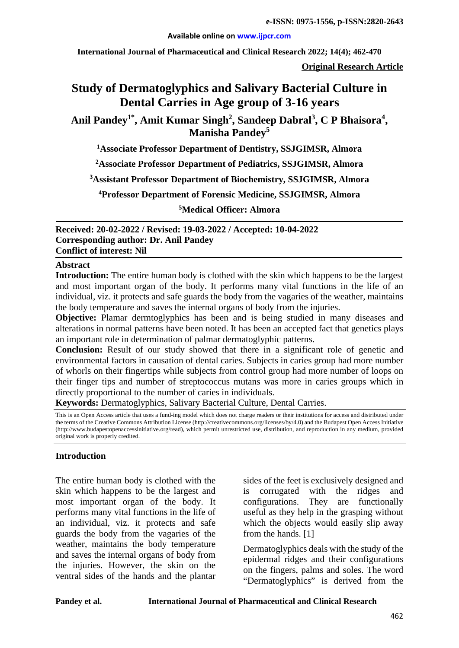#### **Available online on [www.ijpcr.com](http://www.ijpcr.com/)**

**International Journal of Pharmaceutical and Clinical Research 2022; 14(4); 462-470**

**Original Research Article**

# **Study of Dermatoglyphics and Salivary Bacterial Culture in Dental Carries in Age group of 3-16 years**

Anil Pandey<sup>1\*</sup>, Amit Kumar Singh<sup>2</sup>, Sandeep Dabral<sup>3</sup>, C P Bhaisora<sup>4</sup>, **Manisha Pandey<sup>5</sup>**

**1 Associate Professor Department of Dentistry, SSJGIMSR, Almora**

**2 Associate Professor Department of Pediatrics, SSJGIMSR, Almora**

**3 Assistant Professor Department of Biochemistry, SSJGIMSR, Almora**

**4 Professor Department of Forensic Medicine, SSJGIMSR, Almora**

**5 Medical Officer: Almora**

**Received: 20-02-2022 / Revised: 19-03-2022 / Accepted: 10-04-2022 Corresponding author: Dr. Anil Pandey Conflict of interest: Nil**

#### **Abstract**

**Introduction:** The entire human body is clothed with the skin which happens to be the largest and most important organ of the body. It performs many vital functions in the life of an individual, viz. it protects and safe guards the body from the vagaries of the weather, maintains the body temperature and saves the internal organs of body from the injuries.

**Objective:** Plamar dermtoglyphics has been and is being studied in many diseases and alterations in normal patterns have been noted. It has been an accepted fact that genetics plays an important role in determination of palmar dermatoglyphic patterns.

**Conclusion:** Result of our study showed that there in a significant role of genetic and environmental factors in causation of dental caries. Subjects in caries group had more number of whorls on their fingertips while subjects from control group had more number of loops on their finger tips and number of streptococcus mutans was more in caries groups which in directly proportional to the number of caries in individuals.

**Keywords:** Dermatoglyphics, Salivary Bacterial Culture, Dental Carries.

This is an Open Access article that uses a fund-ing model which does not charge readers or their institutions for access and distributed under the terms of the Creative Commons Attribution License (http://creativecommons.org/licenses/by/4.0) and the Budapest Open Access Initiative (http://www.budapestopenaccessinitiative.org/read), which permit unrestricted use, distribution, and reproduction in any medium, provided original work is properly credited.

#### **Introduction**

The entire human body is clothed with the skin which happens to be the largest and most important organ of the body. It performs many vital functions in the life of an individual, viz. it protects and safe guards the body from the vagaries of the weather, maintains the body temperature and saves the internal organs of body from the injuries. However, the skin on the ventral sides of the hands and the plantar

sides of the feet is exclusively designed and is corrugated with the ridges and configurations. They are functionally useful as they help in the grasping without which the objects would easily slip away from the hands. [1]

Dermatoglyphics deals with the study of the epidermal ridges and their configurations on the fingers, palms and soles. The word "Dermatoglyphics" is derived from the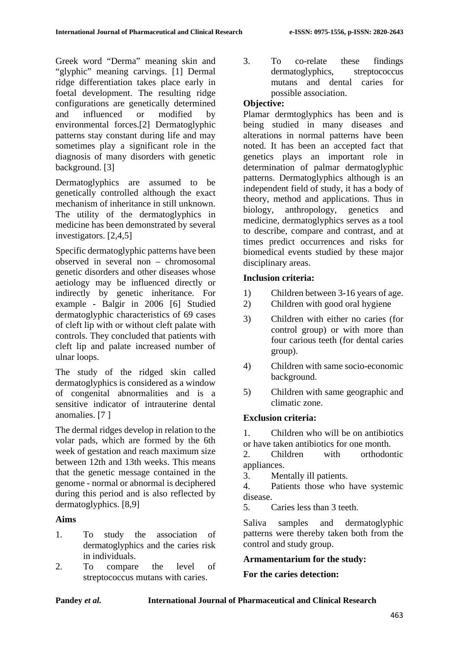Greek word "Derma" meaning skin and "glyphic" meaning carvings. [1] Dermal ridge differentiation takes place early in foetal development. The resulting ridge configurations are genetically determined and influenced or modified by environmental forces.[2] Dermatoglyphic patterns stay constant during life and may sometimes play a significant role in the diagnosis of many disorders with genetic background. [3]

Dermatoglyphics are assumed to be genetically controlled although the exact mechanism of inheritance in still unknown. The utility of the dermatoglyphics in medicine has been demonstrated by several investigators. [2,4,5]

Specific dermatoglyphic patterns have been observed in several non – chromosomal genetic disorders and other diseases whose aetiology may be influenced directly or indirectly by genetic inheritance. For example - Balgir in 2006 [6] Studied dermatoglyphic characteristics of 69 cases of cleft lip with or without cleft palate with controls. They concluded that patients with cleft lip and palate increased number of ulnar loops.

The study of the ridged skin called dermatoglyphics is considered as a window of congenital abnormalities and is a sensitive indicator of intrauterine dental anomalies. [7 ]

The dermal ridges develop in relation to the volar pads, which are formed by the 6th week of gestation and reach maximum size between 12th and 13th weeks. This means that the genetic message contained in the genome - normal or abnormal is deciphered during this period and is also reflected by dermatoglyphics. [8,9]

# **Aims**

- 1. To study the association of dermatoglyphics and the caries risk in individuals.
- 2. To compare the level of streptococcus mutans with caries.

3. To co-relate these findings dermatoglyphics, streptococcus mutans and dental caries for possible association.

# **Objective:**

Plamar dermtoglyphics has been and is being studied in many diseases and alterations in normal patterns have been noted. It has been an accepted fact that genetics plays an important role in determination of palmar dermatoglyphic patterns. Dermatoglyphics although is an independent field of study, it has a body of theory, method and applications. Thus in biology, anthropology, genetics and medicine, dermatoglyphics serves as a tool to describe, compare and contrast, and at times predict occurrences and risks for biomedical events studied by these major disciplinary areas.

# **Inclusion criteria:**

- 1) Children between 3-16 years of age.
- 2) Children with good oral hygiene
- 3) Children with either no caries (for control group) or with more than four carious teeth (for dental caries group).
- 4) Children with same socio-economic background.
- 5) Children with same geographic and climatic zone.

# **Exclusion criteria:**

1. Children who will be on antibiotics or have taken antibiotics for one month.

2. Children with orthodontic appliances.

3. Mentally ill patients.

4. Patients those who have systemic disease.

5. Caries less than 3 teeth.

Saliva samples and dermatoglyphic patterns were thereby taken both from the control and study group.

# **Armamentarium for the study:**

# **For the caries detection:**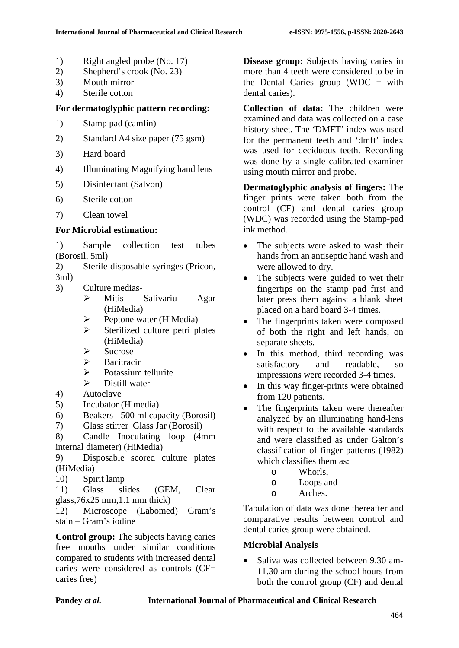- 1) Right angled probe (No. 17)
- 2) Shepherd's crook (No. 23)
- 3) Mouth mirror
- 4) Sterile cotton

## **For dermatoglyphic pattern recording:**

- 1) Stamp pad (camlin)
- 2) Standard A4 size paper (75 gsm)
- 3) Hard board
- 4) Illuminating Magnifying hand lens
- 5) Disinfectant (Salvon)
- 6) Sterile cotton
- 7) Clean towel

## **For Microbial estimation:**

1) Sample collection test tubes (Borosil, 5ml)

2) Sterile disposable syringes (Pricon, 3ml)

- 3) Culture medias-
	- Mitis Salivariu Agar (HiMedia)
	- $\triangleright$  Peptone water (HiMedia)
	- $\triangleright$  Sterilized culture petri plates (HiMedia)
	- $\triangleright$  Sucrose
	- $\triangleright$  Bacitracin
	- $\triangleright$  Potassium tellurite
	- $\triangleright$  Distill water
- 4) Autoclave
- 5) Incubator (Himedia)
- 6) Beakers 500 ml capacity (Borosil)
- 7) Glass stirrer Glass Jar (Borosil)

8) Candle Inoculating loop (4mm internal diameter) (HiMedia)

9) Disposable scored culture plates (HiMedia)

10) Spirit lamp

11) Glass slides (GEM, Clear glass,76x25 mm,1.1 mm thick)

12) Microscope (Labomed) Gram's stain – Gram's iodine

**Control group:** The subjects having caries free mouths under similar conditions compared to students with increased dental caries were considered as controls (CF= caries free)

**Disease group:** Subjects having caries in more than 4 teeth were considered to be in the Dental Caries group (WDC  $=$  with dental caries).

**Collection of data:** The children were examined and data was collected on a case history sheet. The 'DMFT' index was used for the permanent teeth and 'dmft' index was used for deciduous teeth. Recording was done by a single calibrated examiner using mouth mirror and probe.

**Dermatoglyphic analysis of fingers:** The finger prints were taken both from the control (CF) and dental caries group (WDC) was recorded using the Stamp-pad ink method.

- The subjects were asked to wash their hands from an antiseptic hand wash and were allowed to dry.
- The subjects were guided to wet their fingertips on the stamp pad first and later press them against a blank sheet placed on a hard board 3-4 times.
- The fingerprints taken were composed of both the right and left hands, on separate sheets.
- In this method, third recording was satisfactory and readable, so impressions were recorded 3-4 times.
- In this way finger-prints were obtained from 120 patients.
- The fingerprints taken were thereafter analyzed by an illuminating hand-lens with respect to the available standards and were classified as under Galton's classification of finger patterns (1982) which classifies them as:
	-
	- o Whorls, o Loops and
	- Arches.

Tabulation of data was done thereafter and comparative results between control and dental caries group were obtained.

# **Microbial Analysis**

• Saliva was collected between 9.30 am-11.30 am during the school hours from both the control group (CF) and dental

### **Pandey** *et al.* **International Journal of Pharmaceutical and Clinical Research**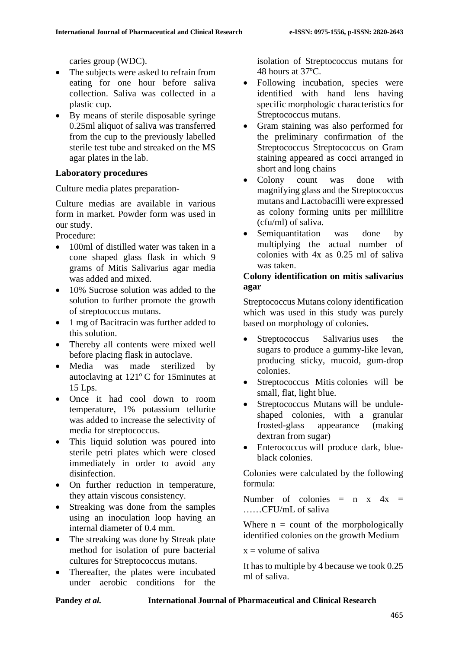caries group (WDC).

- The subjects were asked to refrain from eating for one hour before saliva collection. Saliva was collected in a plastic cup.
- By means of sterile disposable syringe 0.25ml aliquot of saliva was transferred from the cup to the previously labelled sterile test tube and streaked on the MS agar plates in the lab.

## **Laboratory procedures**

Culture media plates preparation-

Culture medias are available in various form in market. Powder form was used in our study.

Procedure:

- 100ml of distilled water was taken in a cone shaped glass flask in which 9 grams of Mitis Salivarius agar media was added and mixed.
- 10% Sucrose solution was added to the solution to further promote the growth of streptococcus mutans.
- 1 mg of Bacitracin was further added to this solution.
- Thereby all contents were mixed well before placing flask in autoclave.
- Media was made sterilized by autoclaving at  $121^{\circ}$ C for 15minutes at 15 Lps.
- Once it had cool down to room temperature, 1% potassium tellurite was added to increase the selectivity of media for streptococcus.
- This liquid solution was poured into sterile petri plates which were closed immediately in order to avoid any disinfection.
- On further reduction in temperature, they attain viscous consistency.
- Streaking was done from the samples using an inoculation loop having an internal diameter of 0.4 mm.
- The streaking was done by Streak plate method for isolation of pure bacterial cultures for Streptococcus mutans.
- Thereafter, the plates were incubated under aerobic conditions for the

isolation of Streptococcus mutans for 48 hours at 37ºC.

- Following incubation, species were identified with hand lens having specific morphologic characteristics for Streptococcus mutans.
- Gram staining was also performed for the preliminary confirmation of the Streptococcus Streptococcus on Gram staining appeared as cocci arranged in short and long chains
- Colony count was done with magnifying glass and the Streptococcus mutans and Lactobacilli were expressed as colony forming units per millilitre (cfu/ml) of saliva.
- Semiquantitation was done by multiplying the actual number of colonies with 4x as 0.25 ml of saliva was taken.

## **Colony identification on mitis salivarius agar**

Streptococcus Mutans colony identification which was used in this study was purely based on morphology of colonies.

- Streptococcus Salivarius uses the sugars to produce a gummy-like levan, producing sticky, mucoid, gum-drop colonies.
- Streptococcus Mitis colonies will be small, flat, light blue.
- Streptococcus Mutans will be unduleshaped colonies, with a granular frosted-glass appearance (making dextran from sugar)
- Enterococcus will produce dark, blueblack colonies.

Colonies were calculated by the following formula:

Number of colonies  $=$  n x  $4x =$ ……CFU/mL of saliva

Where  $n =$  count of the morphologically identified colonies on the growth Medium

 $x =$  volume of saliva

It has to multiple by 4 because we took 0.25 ml of saliva.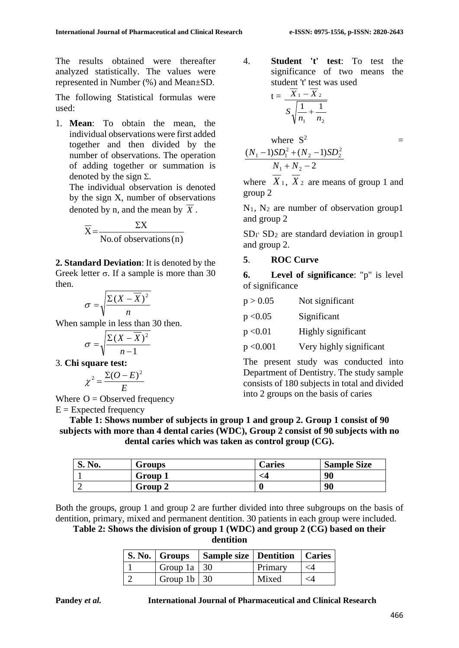The results obtained were thereafter analyzed statistically. The values were represented in Number (%) and Mean±SD.

The following Statistical formulas were used:

1. **Mean**: To obtain the mean, the individual observations were first added together and then divided by the number of observations. The operation of adding together or summation is denoted by the sign  $\Sigma$ .

The individual observation is denoted by the sign X, number of observations denoted by n, and the mean by  $\overline{X}$ .

$$
\overline{X} = \frac{\Sigma X}{\text{No. of observations (n)}}
$$

**2. Standard Deviation**: It is denoted by the Greek letter  $\sigma$ . If a sample is more than 30 then.

$$
\sigma = \sqrt{\frac{\Sigma (X - \overline{X})^2}{n}}
$$

When sample in less than 30 then.

$$
\sigma = \sqrt{\frac{\Sigma(X - \overline{X})^2}{n-1}}
$$

3. **Chi square test:**

$$
\chi^2 = \frac{\Sigma (O - E)^2}{E}
$$

Where  $O = Observed frequency$  $E =$  Expected frequency

4. **Student 't' test**: To test the significance of two means the student 't' test was used

$$
t = \frac{\overline{X}_1 - \overline{X}_2}{S\sqrt{\frac{1}{n_1} + \frac{1}{n_2}}}
$$

where S<sup>2</sup>  
\n
$$
\frac{(N_1 - 1)SD_1^2 + (N_2 - 1)SD_2^2}{N_1 + N_2 - 2}
$$

where  $X_1$ ,  $X_2$  are means of group 1 and group 2

 $N_1$ ,  $N_2$  are number of observation group1 and group 2

 $SD<sub>I</sub>$  SD<sub>2</sub> are standard deviation in group1 and group 2.

# **5**. **ROC Curve**

**6. Level of significance**: "p" is level of significance

| p > 0.05  | Not significant         |
|-----------|-------------------------|
| p < 0.05  | Significant             |
| p < 0.01  | Highly significant      |
| p < 0.001 | Very highly significant |
|           |                         |

The present study was conducted into Department of Dentistry. The study sample consists of 180 subjects in total and divided into 2 groups on the basis of caries

**Table 1: Shows number of subjects in group 1 and group 2. Group 1 consist of 90 subjects with more than 4 dental caries (WDC), Group 2 consist of 90 subjects with no dental caries which was taken as control group (CG).**

| N <sub>0</sub> .<br>IJ. | <b>Groups</b> | <b>Caries</b> | <b>Sample Size</b> |
|-------------------------|---------------|---------------|--------------------|
|                         | Group         |               | 90                 |
|                         | Group 2       |               | 90                 |

Both the groups, group 1 and group 2 are further divided into three subgroups on the basis of dentition, primary, mixed and permanent dentition. 30 patients in each group were included.

**Table 2: Shows the division of group 1 (WDC) and group 2 (CG) based on their dentition**

|                           | S. No.   Groups   Sample size   Dentition   Caries |         |          |
|---------------------------|----------------------------------------------------|---------|----------|
| Group 1a   $30$           |                                                    | Primary | $\leq 4$ |
| Group 1b $\vert 30 \vert$ |                                                    | Mixed   | <4       |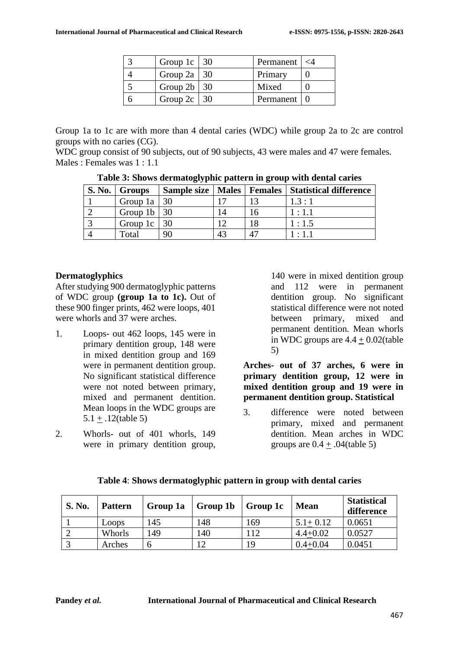| Group 1c   $30$ | Permanent | $\lt4$ |
|-----------------|-----------|--------|
| Group 2a   $30$ | Primary   |        |
| Group $2b$   30 | Mixed     |        |
| Group $2c$   30 | Permanent |        |

Group 1a to 1c are with more than 4 dental caries (WDC) while group 2a to 2c are control groups with no caries (CG).

WDC group consist of 90 subjects, out of 90 subjects, 43 were males and 47 were females. Males : Females was 1 : 1.1

| <b>S. No.</b> | Groups             |     |    | Sample size   Males   Females   Statistical difference |
|---------------|--------------------|-----|----|--------------------------------------------------------|
|               | Group 1a   $30$    |     |    | 1.3:1                                                  |
|               | Group $1b \mid 30$ |     |    | 1:1.1                                                  |
|               | Group $1c$         | -30 |    | 1:1.5                                                  |
|               | Total              | 90  | 43 | 1:1.1                                                  |

**Table 3: Shows dermatoglyphic pattern in group with dental caries**

### **Dermatoglyphics**

After studying 900 dermatoglyphic patterns of WDC group **(group 1a to 1c).** Out of these 900 finger prints, 462 were loops, 401 were whorls and 37 were arches.

- 1. Loops- out 462 loops, 145 were in primary dentition group, 148 were in mixed dentition group and 169 were in permanent dentition group. No significant statistical difference were not noted between primary, mixed and permanent dentition. Mean loops in the WDC groups are 5.1 + .12(table 5)
- 2. Whorls- out of 401 whorls, 149 were in primary dentition group,

140 were in mixed dentition group and 112 were in permanent dentition group. No significant statistical difference were not noted between primary, mixed and permanent dentition. Mean whorls in WDC groups are  $4.4 + 0.02$ (table 5)

**Arches- out of 37 arches, 6 were in primary dentition group, 12 were in mixed dentition group and 19 were in permanent dentition group. Statistical**

3. difference were noted between primary, mixed and permanent dentition. Mean arches in WDC groups are  $0.4 + .04$ (table 5)

| <b>S. No.</b> | <b>Pattern</b> | Group 1a | Group 1b | Group 1c | <b>Mean</b>  | <b>Statistical</b><br>difference |
|---------------|----------------|----------|----------|----------|--------------|----------------------------------|
|               | Loops          | 145      | 148      | 169      | $5.1 + 0.12$ | 0.0651                           |
|               | Whorls         | 149      | .40      |          | $4.4 + 0.02$ | 0.0527                           |
|               | Arches         |          |          | 19       | $0.4 + 0.04$ | 0.0451                           |

**Table 4**: **Shows dermatoglyphic pattern in group with dental caries**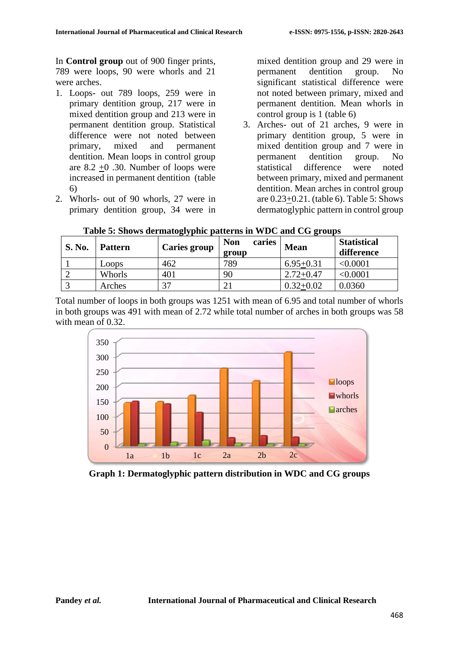In **Control group** out of 900 finger prints, 789 were loops, 90 were whorls and 21 were arches.

- 1. Loops- out 789 loops, 259 were in primary dentition group, 217 were in mixed dentition group and 213 were in permanent dentition group. Statistical difference were not noted between primary, mixed and permanent dentition. Mean loops in control group are  $8.2 + 0.30$ . Number of loops were increased in permanent dentition (table 6)
- 2. Whorls- out of 90 whorls, 27 were in primary dentition group, 34 were in

mixed dentition group and 29 were in permanent dentition group. No significant statistical difference were not noted between primary, mixed and permanent dentition. Mean whorls in control group is 1 (table 6)

3. Arches- out of 21 arches, 9 were in primary dentition group, 5 were in mixed dentition group and 7 were in permanent dentition group. No statistical difference were noted between primary, mixed and permanent dentition. Mean arches in control group are 0.23+0.21. (table 6). Table 5: Shows dermatoglyphic pattern in control group

| <b>S. No.</b> | <b>Pattern</b> | <b>Caries group</b> | <b>Non</b><br>caries<br>group | <b>Mean</b>   | <b>Statistical</b><br>difference |
|---------------|----------------|---------------------|-------------------------------|---------------|----------------------------------|
|               | Loops          | 462                 | 789                           | $6.95 + 0.31$ | < 0.0001                         |
|               | Whorls         | 401                 | 90                            | $2.72 + 0.47$ | $<$ 0.0001 $\,$                  |
|               | Arches         | 27                  | ∍<br>້                        | $0.32 + 0.02$ | 0.0360                           |

**Table 5: Shows dermatoglyphic patterns in WDC and CG groups**

Total number of loops in both groups was 1251 with mean of 6.95 and total number of whorls in both groups was 491 with mean of 2.72 while total number of arches in both groups was 58 with mean of 0.32.



**Graph 1: Dermatoglyphic pattern distribution in WDC and CG groups**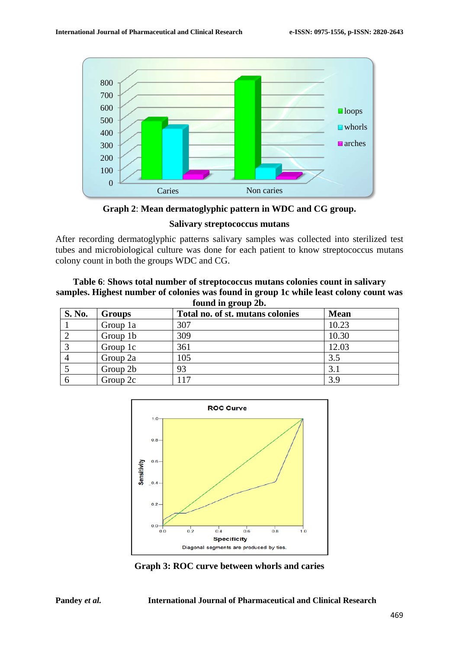

**Graph 2**: **Mean dermatoglyphic pattern in WDC and CG group.**

#### **Salivary streptococcus mutans**

After recording dermatoglyphic patterns salivary samples was collected into sterilized test tubes and microbiological culture was done for each patient to know streptococcus mutans colony count in both the groups WDC and CG.

#### **Table 6**: **Shows total number of streptococcus mutans colonies count in salivary samples. Highest number of colonies was found in group 1c while least colony count was found in group 2b.**

| <b>S. No.</b> | <b>Groups</b> | Total no. of st. mutans colonies | <b>Mean</b> |
|---------------|---------------|----------------------------------|-------------|
|               | Group 1a      | 307                              | 10.23       |
|               | Group 1b      | 309                              | 10.30       |
|               | Group 1c      | 361                              | 12.03       |
|               | Group 2a      | 105                              | 3.5         |
|               | Group 2b      | 93                               | 3.1         |
|               | Group 2c      | 117                              | 3.9         |



**Graph 3: ROC curve between whorls and caries**